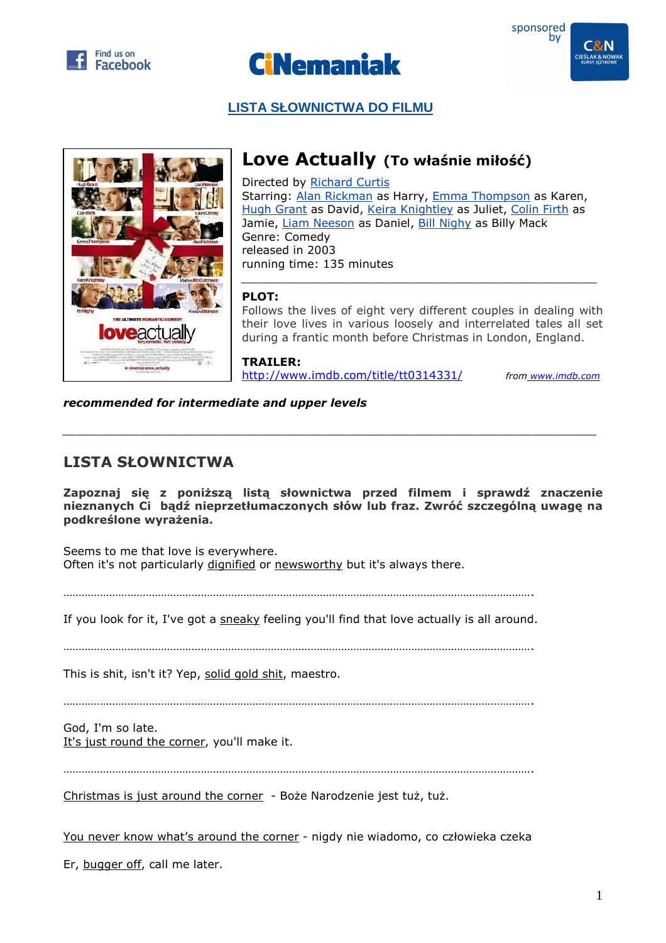





## **LISTA SŁOWNICTWA DO FILMU**



## **Love Actually (To właśnie miłość)**

Directed by Richard Curtis Starring: Alan Rickman as Harry, Emma Thompson as Karen, Hugh Grant as David, Keira Knightley as Juliet, Colin Firth as Jamie, Liam Neeson as Daniel, Bill Nighy as Billy Mack Genre: Comedy released in 2003 running time: 135 minutes

## **PLOT:**

Follows the lives of eight very different couples in dealing with their love lives in various loosely and interrelated tales all set during a frantic month before Christmas in London, England.

*\_\_\_\_\_\_\_\_\_\_\_\_\_\_\_\_\_\_\_\_\_\_\_\_\_\_\_\_\_\_\_\_\_\_\_\_\_\_\_\_\_\_\_\_\_\_\_\_\_\_* 

**TRAILER:**  http://www.imdb.com/title/tt0314331/ *from www.imdb.com*

*recommended for intermediate and upper levels* 

## **LISTA SŁOWNICTWA**

**Zapoznaj się z poniższą listą słownictwa przed filmem i sprawdź znaczenie nieznanych Ci bądź nieprzetłumaczonych słów lub fraz. Zwróć szczególną uwagę na podkreślone wyrażenia.** 

*\_\_\_\_\_\_\_\_\_\_\_\_\_\_\_\_\_\_\_\_\_\_\_\_\_\_\_\_\_\_\_\_\_\_\_\_\_\_\_\_\_\_\_\_\_\_\_\_\_\_\_\_\_\_\_\_\_\_\_\_\_\_\_\_\_\_\_\_\_\_\_\_\_\_\_* 

Seems to me that love is everywhere. Often it's not particularly dignified or newsworthy but it's always there.

……………………………………………………………………………………………………………………………………….

If you look for it, I've got a sneaky feeling you'll find that love actually is all around.

……………………………………………………………………………………………………………………………………….

This is shit, isn't it? Yep, solid gold shit, maestro.

……………………………………………………………………………………………………………………………………….

God, I'm so late. It's just round the corner, you'll make it.

……………………………………………………………………………………………………………………………………….

Christmas is just around the corner - Boże Narodzenie jest tuż, tuż.

You never know what's around the corner - nigdy nie wiadomo, co człowieka czeka

Er, bugger off, call me later.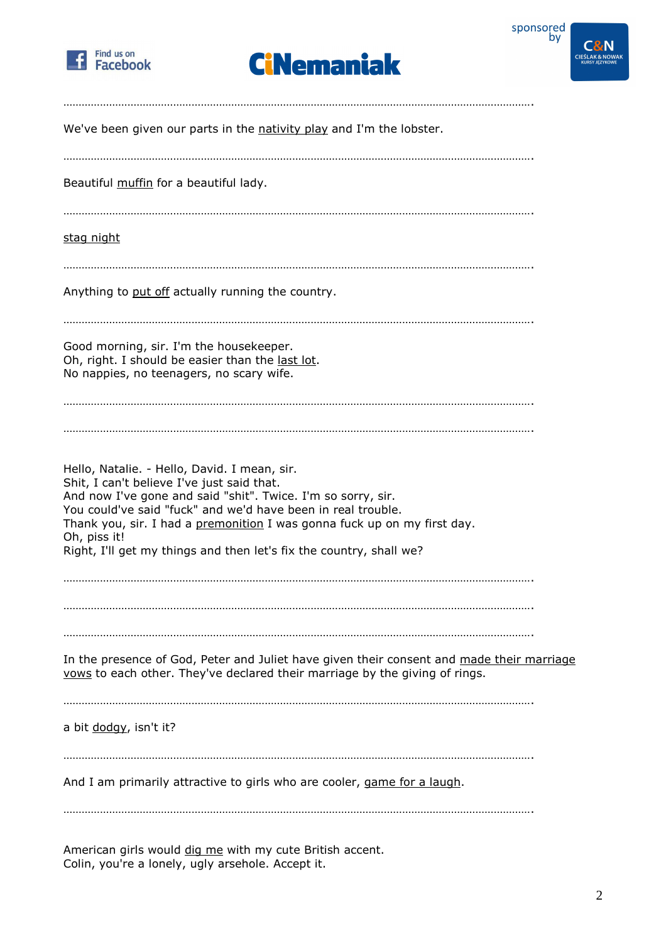





| We've been given our parts in the nativity play and I'm the lobster.                                                                                                                                                                                                                                                                                                                          |
|-----------------------------------------------------------------------------------------------------------------------------------------------------------------------------------------------------------------------------------------------------------------------------------------------------------------------------------------------------------------------------------------------|
| Beautiful muffin for a beautiful lady.                                                                                                                                                                                                                                                                                                                                                        |
| <u>stag night</u>                                                                                                                                                                                                                                                                                                                                                                             |
| Anything to put off actually running the country.                                                                                                                                                                                                                                                                                                                                             |
| Good morning, sir. I'm the housekeeper.<br>Oh, right. I should be easier than the last lot.<br>No nappies, no teenagers, no scary wife.                                                                                                                                                                                                                                                       |
| Hello, Natalie. - Hello, David. I mean, sir.<br>Shit, I can't believe I've just said that.<br>And now I've gone and said "shit". Twice. I'm so sorry, sir.<br>You could've said "fuck" and we'd have been in real trouble.<br>Thank you, sir. I had a premonition I was gonna fuck up on my first day.<br>Oh, piss it!<br>Right, I'll get my things and then let's fix the country, shall we? |
| In the presence of God, Peter and Juliet have given their consent and made their marriage<br>vows to each other. They've declared their marriage by the giving of rings.                                                                                                                                                                                                                      |
| a bit dodgy, isn't it?                                                                                                                                                                                                                                                                                                                                                                        |
| And I am primarily attractive to girls who are cooler, game for a laugh.                                                                                                                                                                                                                                                                                                                      |
|                                                                                                                                                                                                                                                                                                                                                                                               |

American girls would dig me with my cute British accent. Colin, you're a lonely, ugly arsehole. Accept it.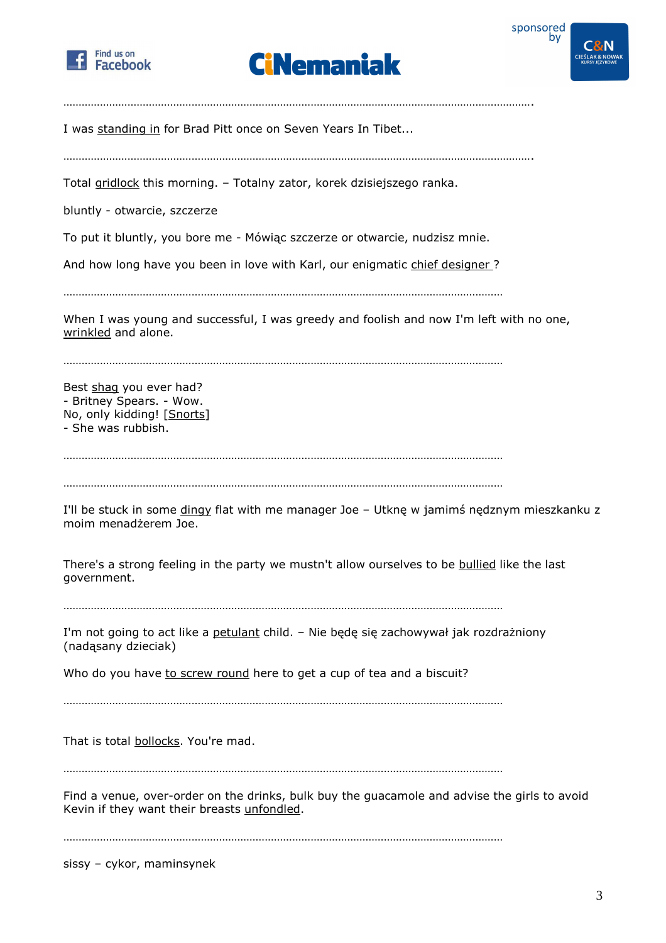





I was standing in for Brad Pitt once on Seven Years In Tibet...

……………………………………………………………………………………………………………………………………….

……………………………………………………………………………………………………………………………………….

Total gridlock this morning. – Totalny zator, korek dzisiejszego ranka.

bluntly - otwarcie, szczerze

To put it bluntly, you bore me - Mówiąc szczerze or otwarcie, nudzisz mnie.

And how long have you been in love with Karl, our enigmatic chief designer?

………………………………………………………………………………………………………………………………

When I was young and successful, I was greedy and foolish and now I'm left with no one, wrinkled and alone.

………………………………………………………………………………………………………………………………

Best shag you ever had? - Britney Spears. - Wow. No, only kidding! [Snorts] - She was rubbish.

………………………………………………………………………………………………………………………………

………………………………………………………………………………………………………………………………

I'll be stuck in some dingy flat with me manager Joe - Utknę w jamimś nędznym mieszkanku z moim menadżerem Joe.

There's a strong feeling in the party we mustn't allow ourselves to be bullied like the last government.

………………………………………………………………………………………………………………………………

I'm not going to act like a petulant child. – Nie będę się zachowywał jak rozdrażniony (nadąsany dzieciak)

Who do you have to screw round here to get a cup of tea and a biscuit?

. The same independent of the same independent of the same independent of the same independent of the same independent of the same independent of the same independent of the same independent of the same independent of the

That is total bollocks. You're mad.

. The same independent of the same independent of the same independent of the same independent of the same independent of the same independent of the same independent of the same independent of the same independent of the

Find a venue, over-order on the drinks, bulk buy the guacamole and advise the girls to avoid Kevin if they want their breasts unfondled.

………………………………………………………………………………………………………………………………

sissy – cykor, maminsynek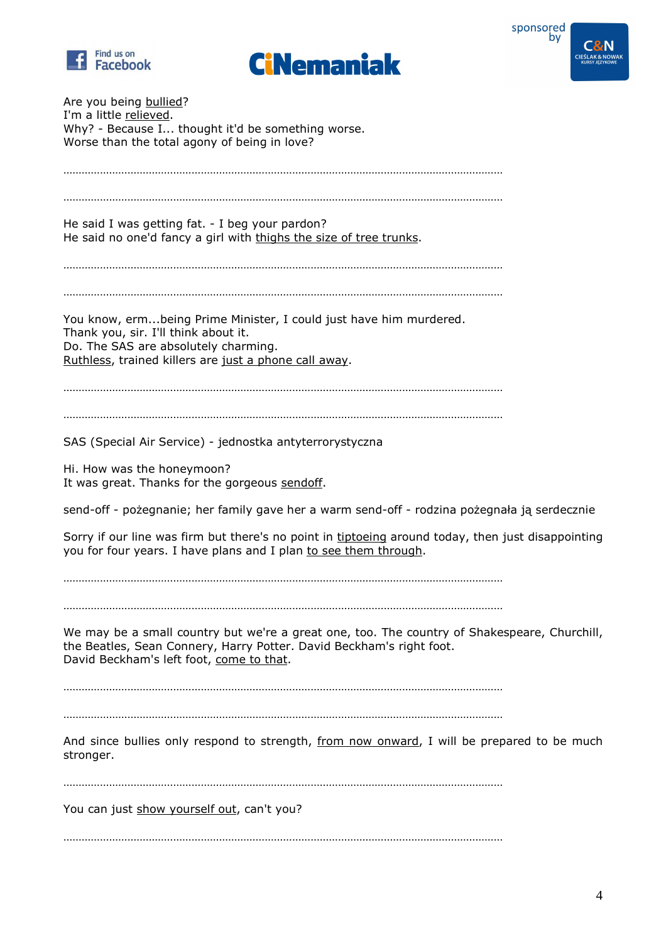





| Are you being bullied?<br>I'm a little relieved.<br>Why? - Because I thought it'd be something worse.<br>Worse than the total agony of being in love?                                                            |
|------------------------------------------------------------------------------------------------------------------------------------------------------------------------------------------------------------------|
| He said I was getting fat. - I beg your pardon?<br>He said no one'd fancy a girl with thighs the size of tree trunks.                                                                                            |
| You know, ermbeing Prime Minister, I could just have him murdered.<br>Thank you, sir. I'll think about it.<br>Do. The SAS are absolutely charming.<br>Ruthless, trained killers are just a phone call away.      |
| SAS (Special Air Service) - jednostka antyterrorystyczna<br>Hi. How was the honeymoon?                                                                                                                           |
| It was great. Thanks for the gorgeous sendoff.<br>send-off - pożegnanie; her family gave her a warm send-off - rodzina pożegnała ją serdecznie                                                                   |
| Sorry if our line was firm but there's no point in tiptoeing around today, then just disappointing<br>you for four years. I have plans and I plan to see them through.                                           |
| We may be a small country but we're a great one, too. The country of Shakespeare, Churchill,<br>the Beatles, Sean Connery, Harry Potter. David Beckham's right foot.<br>David Beckham's left foot, come to that. |
| And since bullies only respond to strength, from now onward, I will be prepared to be much<br>stronger.                                                                                                          |
| You can just show yourself out, can't you?                                                                                                                                                                       |